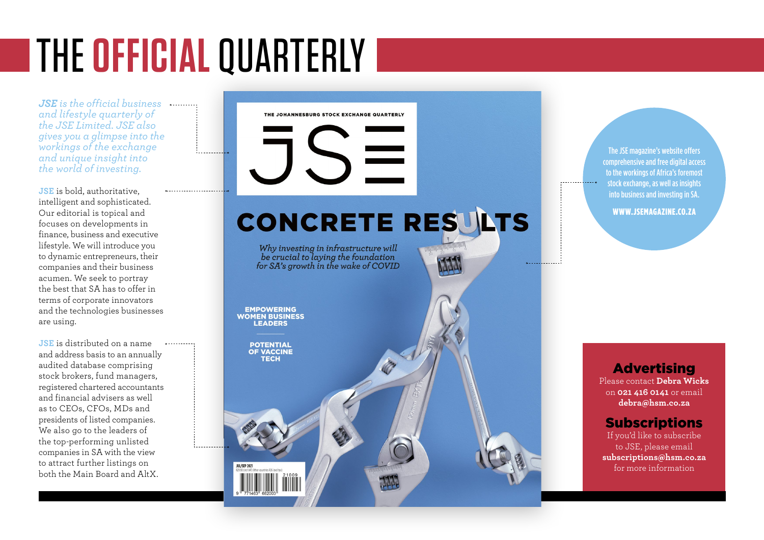# THE **OFFICIAL** QUARTERLY

*JSE is the official business and lifestyle quarterly of the JSE Limited. JSE also gives you a glimpse into the workings of the exchange and unique insight into the world of investing.*

**JSE** is bold, authoritative, intelligent and sophisticated. Our editorial is topical and focuses on developments in finance, business and executive lifestyle. We will introduce you to dynamic entrepreneurs, their companies and their business acumen. We seek to portray the best that SA has to offer in terms of corporate innovators and the technologies businesses are using.

**JSE** is distributed on a name and address basis to an annually audited database comprising stock brokers, fund managers, registered chartered accountants and financial advisers as well as to CEOs, CFOs, MDs and presidents of listed companies. We also go to the leaders of the top-performing unlisted companies in SA with the view to attract further listings on both the Main Board and AltX.

THE JOHANNESBURG STOCK EXCHANGE QUARTERLY

# CONCRETE RESULTS

Why investing in infrastructure will be crucial to laying the foundation for SA's growth in the wake of COVID

**EMPOWERING WOMEN BUSINESS** EADEDS

**POTENTIAL OF VACCINE** 

The JSE magazine's website offers comprehensive and free digital access to the workings of Africa's foremost stock exchange, as well as insights into business and investing in SA.

WWW.JSEMAGAZINE.CO.ZA

**Advertising** 

Please contact **Debra Wicks**  on **021 416 0141** or email **debra@hsm.co.za**

## Subscriptions

If you'd like to subscribe to JSE, please email **subscriptions@hsm.co.za** for more information